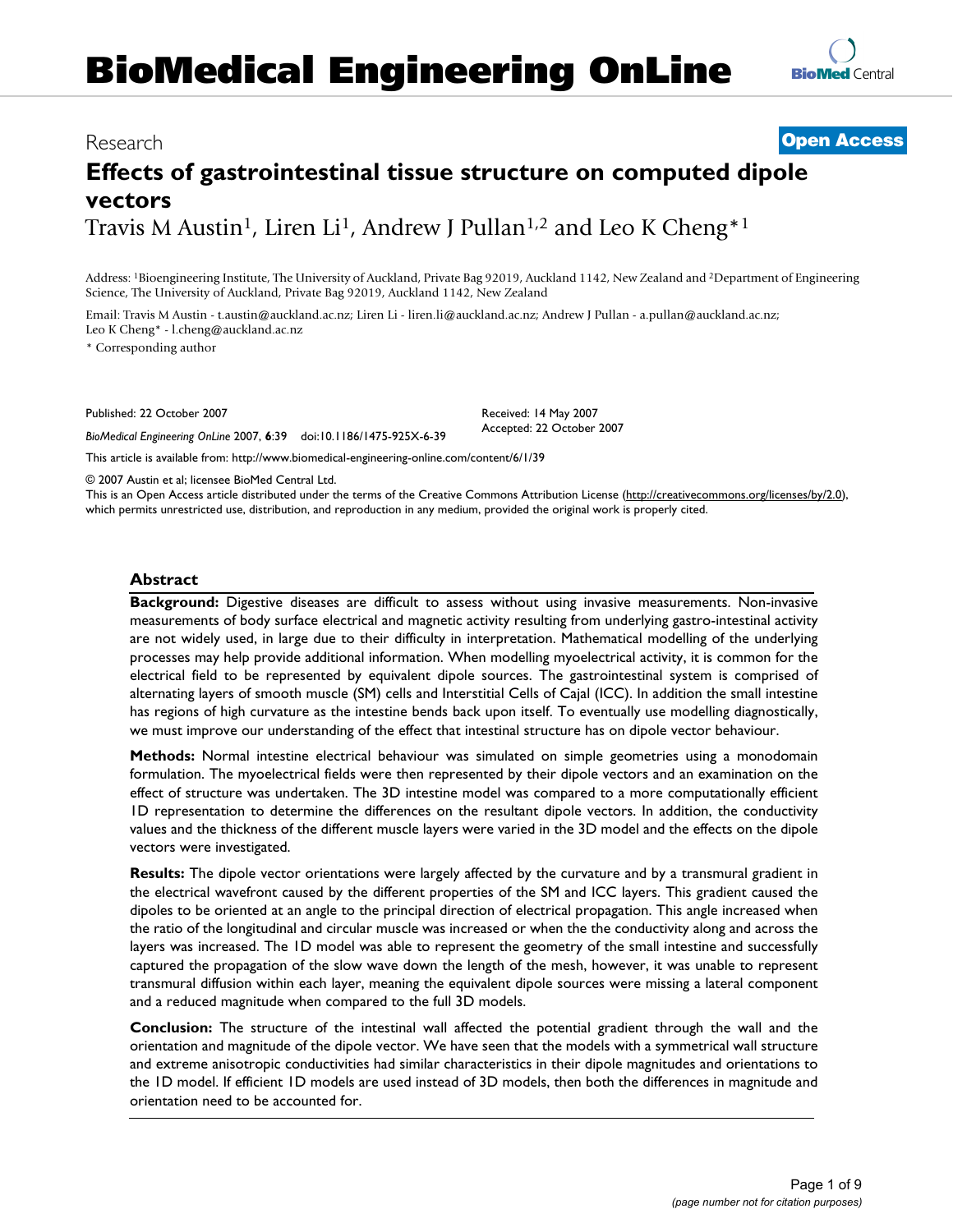# **BioMedical Engineering OnLine**

# Research **[Open Access](http://www.biomedcentral.com/info/about/charter/)**

# **Effects of gastrointestinal tissue structure on computed dipole vectors** Travis M Austin<sup>1</sup>, Liren Li<sup>1</sup>, Andrew J Pullan<sup>1,2</sup> and Leo K Cheng<sup>\*1</sup>

Address: 1Bioengineering Institute, The University of Auckland, Private Bag 92019, Auckland 1142, New Zealand and 2Department of Engineering Science, The University of Auckland, Private Bag 92019, Auckland 1142, New Zealand

Email: Travis M Austin - t.austin@auckland.ac.nz; Liren Li - liren.li@auckland.ac.nz; Andrew J Pullan - a.pullan@auckland.ac.nz; Leo K Cheng\* - l.cheng@auckland.ac.nz

\* Corresponding author

Published: 22 October 2007

*BioMedical Engineering OnLine* 2007, **6**:39 doi:10.1186/1475-925X-6-39

[This article is available from: http://www.biomedical-engineering-online.com/content/6/1/39](http://www.biomedical-engineering-online.com/content/6/1/39)

© 2007 Austin et al; licensee BioMed Central Ltd.

This is an Open Access article distributed under the terms of the Creative Commons Attribution License [\(http://creativecommons.org/licenses/by/2.0\)](http://creativecommons.org/licenses/by/2.0), which permits unrestricted use, distribution, and reproduction in any medium, provided the original work is properly cited.

Received: 14 May 2007 Accepted: 22 October 2007

#### **Abstract**

**Background:** Digestive diseases are difficult to assess without using invasive measurements. Non-invasive measurements of body surface electrical and magnetic activity resulting from underlying gastro-intestinal activity are not widely used, in large due to their difficulty in interpretation. Mathematical modelling of the underlying processes may help provide additional information. When modelling myoelectrical activity, it is common for the electrical field to be represented by equivalent dipole sources. The gastrointestinal system is comprised of alternating layers of smooth muscle (SM) cells and Interstitial Cells of Cajal (ICC). In addition the small intestine has regions of high curvature as the intestine bends back upon itself. To eventually use modelling diagnostically, we must improve our understanding of the effect that intestinal structure has on dipole vector behaviour.

**Methods:** Normal intestine electrical behaviour was simulated on simple geometries using a monodomain formulation. The myoelectrical fields were then represented by their dipole vectors and an examination on the effect of structure was undertaken. The 3D intestine model was compared to a more computationally efficient 1D representation to determine the differences on the resultant dipole vectors. In addition, the conductivity values and the thickness of the different muscle layers were varied in the 3D model and the effects on the dipole vectors were investigated.

**Results:** The dipole vector orientations were largely affected by the curvature and by a transmural gradient in the electrical wavefront caused by the different properties of the SM and ICC layers. This gradient caused the dipoles to be oriented at an angle to the principal direction of electrical propagation. This angle increased when the ratio of the longitudinal and circular muscle was increased or when the the conductivity along and across the layers was increased. The 1D model was able to represent the geometry of the small intestine and successfully captured the propagation of the slow wave down the length of the mesh, however, it was unable to represent transmural diffusion within each layer, meaning the equivalent dipole sources were missing a lateral component and a reduced magnitude when compared to the full 3D models.

**Conclusion:** The structure of the intestinal wall affected the potential gradient through the wall and the orientation and magnitude of the dipole vector. We have seen that the models with a symmetrical wall structure and extreme anisotropic conductivities had similar characteristics in their dipole magnitudes and orientations to the 1D model. If efficient 1D models are used instead of 3D models, then both the differences in magnitude and orientation need to be accounted for.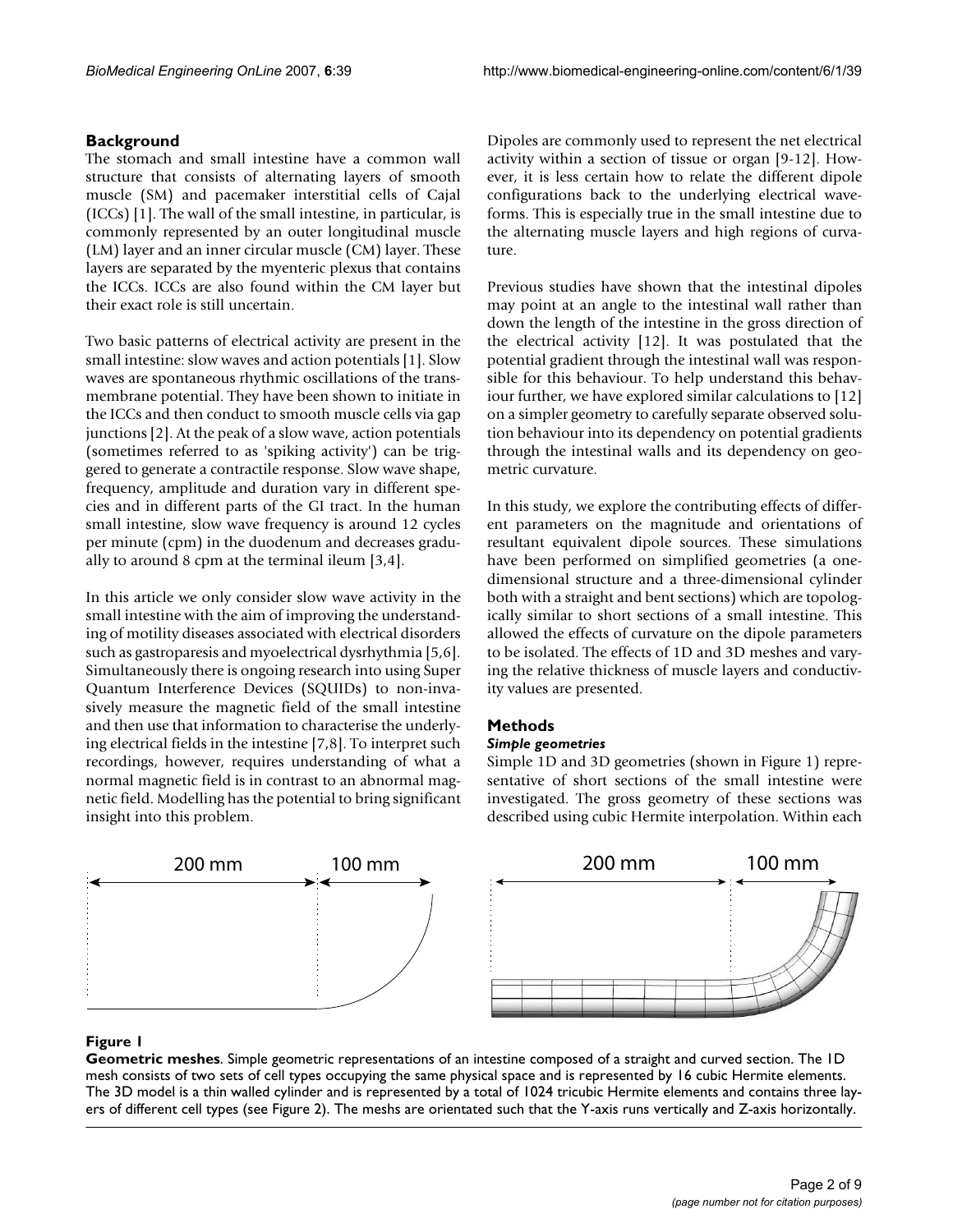# **Background**

The stomach and small intestine have a common wall structure that consists of alternating layers of smooth muscle (SM) and pacemaker interstitial cells of Cajal (ICCs) [1]. The wall of the small intestine, in particular, is commonly represented by an outer longitudinal muscle (LM) layer and an inner circular muscle (CM) layer. These layers are separated by the myenteric plexus that contains the ICCs. ICCs are also found within the CM layer but their exact role is still uncertain.

Two basic patterns of electrical activity are present in the small intestine: slow waves and action potentials [1]. Slow waves are spontaneous rhythmic oscillations of the transmembrane potential. They have been shown to initiate in the ICCs and then conduct to smooth muscle cells via gap junctions [2]. At the peak of a slow wave, action potentials (sometimes referred to as 'spiking activity') can be triggered to generate a contractile response. Slow wave shape, frequency, amplitude and duration vary in different species and in different parts of the GI tract. In the human small intestine, slow wave frequency is around 12 cycles per minute (cpm) in the duodenum and decreases gradually to around 8 cpm at the terminal ileum [3,4].

In this article we only consider slow wave activity in the small intestine with the aim of improving the understanding of motility diseases associated with electrical disorders such as gastroparesis and myoelectrical dysrhythmia [5,6]. Simultaneously there is ongoing research into using Super Quantum Interference Devices (SQUIDs) to non-invasively measure the magnetic field of the small intestine and then use that information to characterise the underlying electrical fields in the intestine [7,8]. To interpret such recordings, however, requires understanding of what a normal magnetic field is in contrast to an abnormal magnetic field. Modelling has the potential to bring significant insight into this problem.

Dipoles are commonly used to represent the net electrical activity within a section of tissue or organ [9-12]. However, it is less certain how to relate the different dipole configurations back to the underlying electrical waveforms. This is especially true in the small intestine due to the alternating muscle layers and high regions of curvature.

Previous studies have shown that the intestinal dipoles may point at an angle to the intestinal wall rather than down the length of the intestine in the gross direction of the electrical activity [12]. It was postulated that the potential gradient through the intestinal wall was responsible for this behaviour. To help understand this behaviour further, we have explored similar calculations to [12] on a simpler geometry to carefully separate observed solution behaviour into its dependency on potential gradients through the intestinal walls and its dependency on geometric curvature.

In this study, we explore the contributing effects of different parameters on the magnitude and orientations of resultant equivalent dipole sources. These simulations have been performed on simplified geometries (a onedimensional structure and a three-dimensional cylinder both with a straight and bent sections) which are topologically similar to short sections of a small intestine. This allowed the effects of curvature on the dipole parameters to be isolated. The effects of 1D and 3D meshes and varying the relative thickness of muscle layers and conductivity values are presented.

# **Methods**

# *Simple geometries*

Simple 1D and 3D geometries (shown in Figure 1) representative of short sections of the small intestine were investigated. The gross geometry of these sections was described using cubic Hermite interpolation. Within each



# **Figure 1**

**Geometric meshes**. Simple geometric representations of an intestine composed of a straight and curved section. The 1D mesh consists of two sets of cell types occupying the same physical space and is represented by 16 cubic Hermite elements. The 3D model is a thin walled cylinder and is represented by a total of 1024 tricubic Hermite elements and contains three layers of different cell types (see Figure 2). The meshs are orientated such that the Y-axis runs vertically and Z-axis horizontally.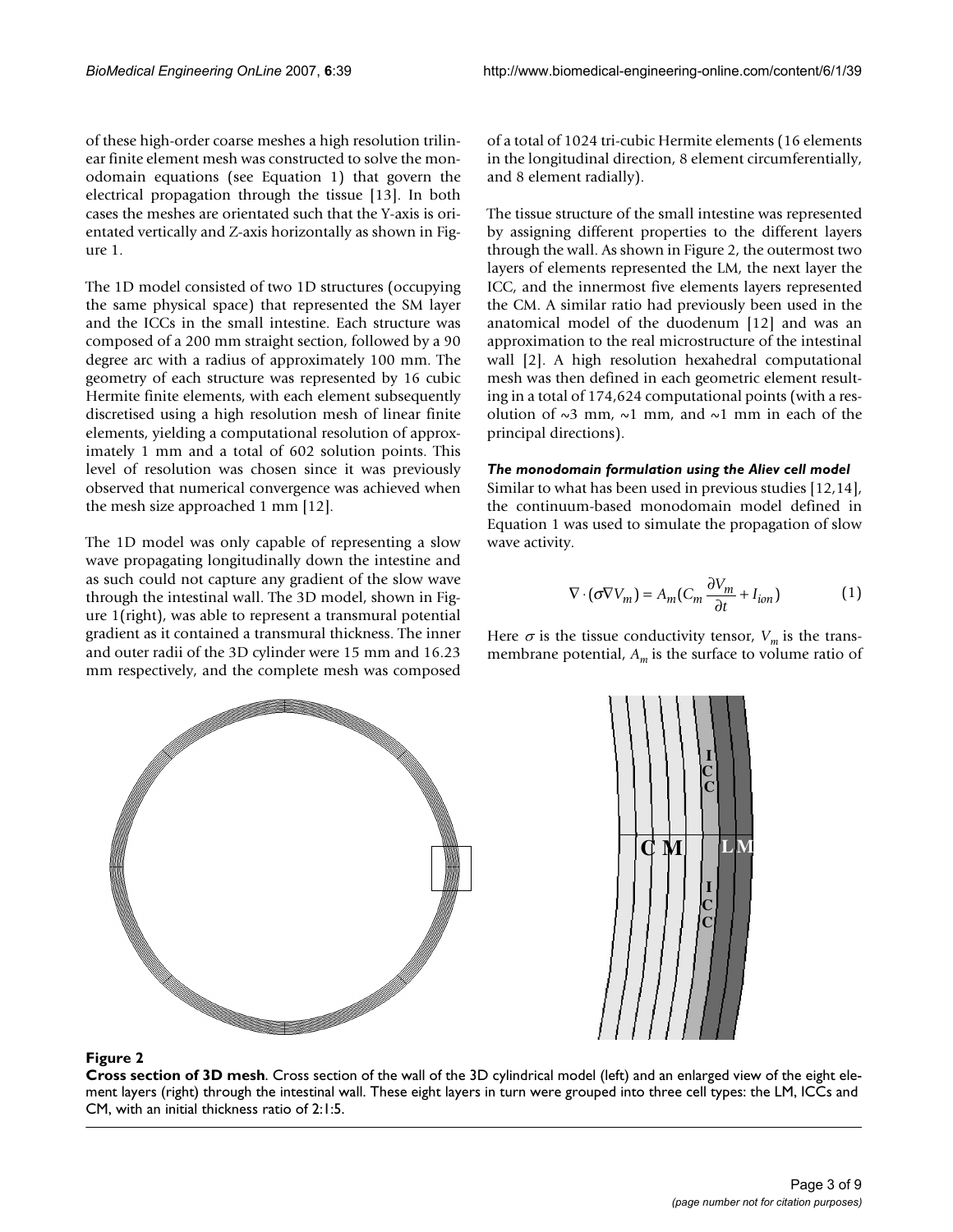of these high-order coarse meshes a high resolution trilinear finite element mesh was constructed to solve the monodomain equations (see Equation 1) that govern the electrical propagation through the tissue [13]. In both cases the meshes are orientated such that the Y-axis is orientated vertically and Z-axis horizontally as shown in Figure 1.

The 1D model consisted of two 1D structures (occupying the same physical space) that represented the SM layer and the ICCs in the small intestine. Each structure was composed of a 200 mm straight section, followed by a 90 degree arc with a radius of approximately 100 mm. The geometry of each structure was represented by 16 cubic Hermite finite elements, with each element subsequently discretised using a high resolution mesh of linear finite elements, yielding a computational resolution of approximately 1 mm and a total of 602 solution points. This level of resolution was chosen since it was previously observed that numerical convergence was achieved when the mesh size approached 1 mm [12].

The 1D model was only capable of representing a slow wave propagating longitudinally down the intestine and as such could not capture any gradient of the slow wave through the intestinal wall. The 3D model, shown in Figure 1(right), was able to represent a transmural potential gradient as it contained a transmural thickness. The inner and outer radii of the 3D cylinder were 15 mm and 16.23 mm respectively, and the complete mesh was composed

of a total of 1024 tri-cubic Hermite elements (16 elements in the longitudinal direction, 8 element circumferentially, and 8 element radially).

The tissue structure of the small intestine was represented by assigning different properties to the different layers through the wall. As shown in Figure 2, the outermost two layers of elements represented the LM, the next layer the ICC, and the innermost five elements layers represented the CM. A similar ratio had previously been used in the anatomical model of the duodenum [12] and was an approximation to the real microstructure of the intestinal wall [2]. A high resolution hexahedral computational mesh was then defined in each geometric element resulting in a total of 174,624 computational points (with a resolution of  $\sim$ 3 mm,  $\sim$ 1 mm, and  $\sim$ 1 mm in each of the principal directions).

# *The monodomain formulation using the Aliev cell model*

Similar to what has been used in previous studies [12,14], the continuum-based monodomain model defined in Equation 1 was used to simulate the propagation of slow wave activity.

$$
\nabla \cdot (\sigma \nabla V_m) = A_m (C_m \frac{\partial V_m}{\partial t} + I_{ion})
$$
 (1)

 $\bm{\mathsf{M}}$  | LM **C C C C C L I I**

# Here  $\sigma$  is the tissue conductivity tensor,  $V_m$  is the transmembrane potential,  $A_m$  is the surface to volume ratio of

#### **Figure 2**

**Cross section of 3D mesh**. Cross section of the wall of the 3D cylindrical model (left) and an enlarged view of the eight element layers (right) through the intestinal wall. These eight layers in turn were grouped into three cell types: the LM, ICCs and CM, with an initial thickness ratio of 2:1:5.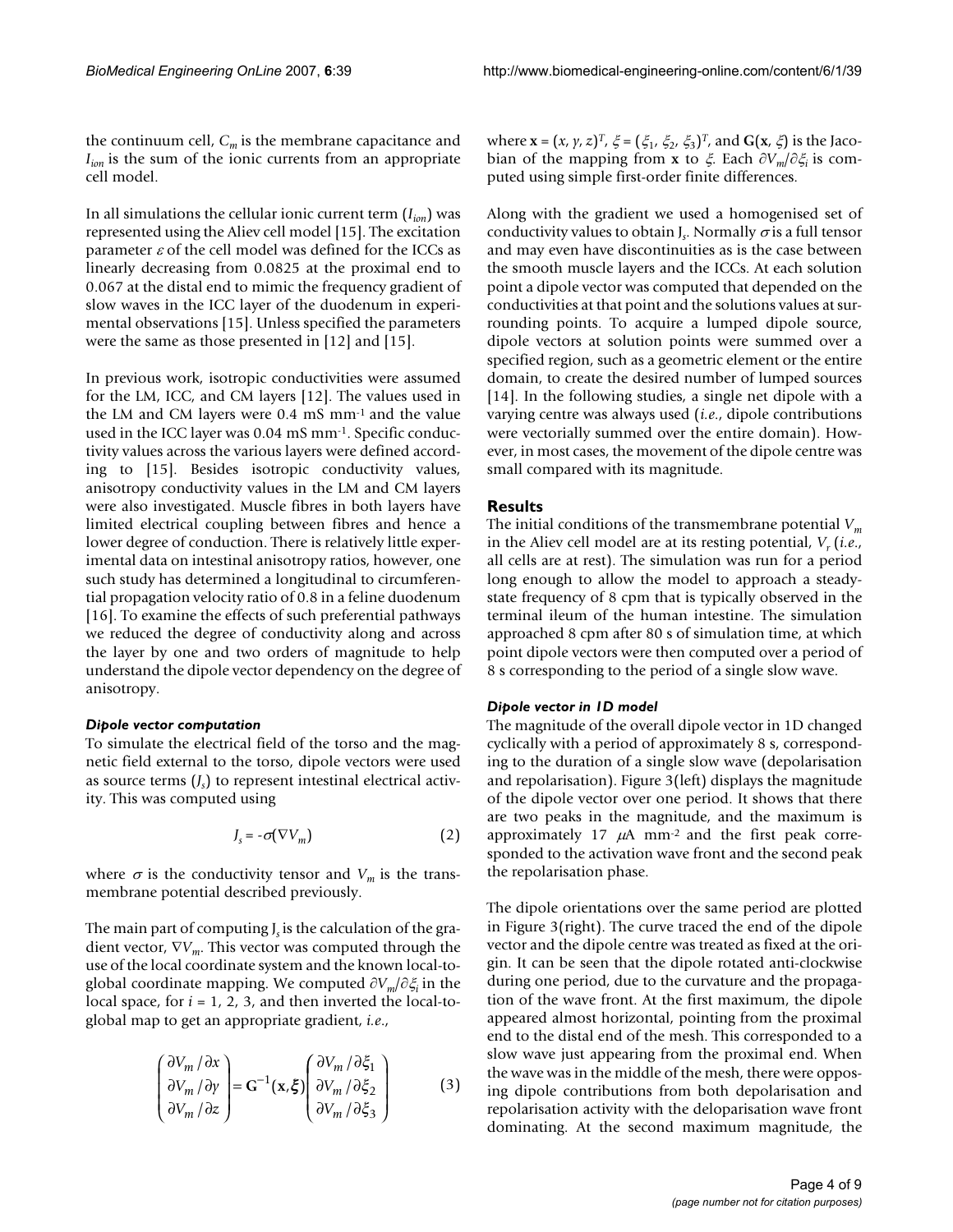the continuum cell,  $C_m$  is the membrane capacitance and *I<sub>ion</sub>* is the sum of the ionic currents from an appropriate cell model.

In all simulations the cellular ionic current term (*Iion*) was represented using the Aliev cell model [15]. The excitation parameter  $\varepsilon$  of the cell model was defined for the ICCs as linearly decreasing from 0.0825 at the proximal end to 0.067 at the distal end to mimic the frequency gradient of slow waves in the ICC layer of the duodenum in experimental observations [15]. Unless specified the parameters were the same as those presented in [12] and [15].

In previous work, isotropic conductivities were assumed for the LM, ICC, and CM layers [12]. The values used in the LM and CM layers were 0.4 mS mm-1 and the value used in the ICC layer was 0.04 mS mm-1. Specific conductivity values across the various layers were defined according to [15]. Besides isotropic conductivity values, anisotropy conductivity values in the LM and CM layers were also investigated. Muscle fibres in both layers have limited electrical coupling between fibres and hence a lower degree of conduction. There is relatively little experimental data on intestinal anisotropy ratios, however, one such study has determined a longitudinal to circumferential propagation velocity ratio of 0.8 in a feline duodenum [16]. To examine the effects of such preferential pathways we reduced the degree of conductivity along and across the layer by one and two orders of magnitude to help understand the dipole vector dependency on the degree of anisotropy.

#### *Dipole vector computation*

To simulate the electrical field of the torso and the magnetic field external to the torso, dipole vectors were used as source terms (*Js* ) to represent intestinal electrical activity. This was computed using

$$
J_s = -\sigma(\nabla V_m) \tag{2}
$$

where  $\sigma$  is the conductivity tensor and  $V_m$  is the transmembrane potential described previously.

The main part of computing *J<sub>s</sub>* is the calculation of the gradient vector, ∇*Vm*. This vector was computed through the use of the local coordinate system and the known local-toglobal coordinate mapping. We computed ∂*Vm*/∂ξ*i* in the local space, for  $i = 1, 2, 3$ , and then inverted the local-toglobal map to get an appropriate gradient, *i.e*.,

$$
\begin{pmatrix}\n\frac{\partial V_m}{\partial x} \\
\frac{\partial V_m}{\partial y} \\
\frac{\partial V_m}{\partial z}\n\end{pmatrix} = \mathbf{G}^{-1}(\mathbf{x}, \xi) \begin{pmatrix}\n\frac{\partial V_m}{\partial \xi_1} \\
\frac{\partial V_m}{\partial \xi_2} \\
\frac{\partial V_m}{\partial \xi_3}\n\end{pmatrix}
$$
\n(3)

where  $\mathbf{x} = (x, y, z)^T$ ,  $\xi = (\xi_1, \xi_2, \xi_3)^T$ , and  $\mathbf{G}(\mathbf{x}, \xi)$  is the Jacobian of the mapping from **x** to ξ. Each ∂*Vm*/∂ξ*i* is computed using simple first-order finite differences.

Along with the gradient we used a homogenised set of conductivity values to obtain J<sub>s</sub>. Normally  $\sigma$  is a full tensor and may even have discontinuities as is the case between the smooth muscle layers and the ICCs. At each solution point a dipole vector was computed that depended on the conductivities at that point and the solutions values at surrounding points. To acquire a lumped dipole source, dipole vectors at solution points were summed over a specified region, such as a geometric element or the entire domain, to create the desired number of lumped sources [14]. In the following studies, a single net dipole with a varying centre was always used (*i.e*., dipole contributions were vectorially summed over the entire domain). However, in most cases, the movement of the dipole centre was small compared with its magnitude.

#### **Results**

The initial conditions of the transmembrane potential *Vm* in the Aliev cell model are at its resting potential,  $V_r$  (*i.e.*, all cells are at rest). The simulation was run for a period long enough to allow the model to approach a steadystate frequency of 8 cpm that is typically observed in the terminal ileum of the human intestine. The simulation approached 8 cpm after 80 s of simulation time, at which point dipole vectors were then computed over a period of 8 s corresponding to the period of a single slow wave.

#### *Dipole vector in 1D model*

The magnitude of the overall dipole vector in 1D changed cyclically with a period of approximately 8 s, corresponding to the duration of a single slow wave (depolarisation and repolarisation). Figure 3(left) displays the magnitude of the dipole vector over one period. It shows that there are two peaks in the magnitude, and the maximum is approximately 17  $\mu$ A mm<sup>-2</sup> and the first peak corresponded to the activation wave front and the second peak the repolarisation phase.

The dipole orientations over the same period are plotted in Figure 3(right). The curve traced the end of the dipole vector and the dipole centre was treated as fixed at the origin. It can be seen that the dipole rotated anti-clockwise during one period, due to the curvature and the propagation of the wave front. At the first maximum, the dipole appeared almost horizontal, pointing from the proximal end to the distal end of the mesh. This corresponded to a slow wave just appearing from the proximal end. When the wave was in the middle of the mesh, there were opposing dipole contributions from both depolarisation and repolarisation activity with the deloparisation wave front dominating. At the second maximum magnitude, the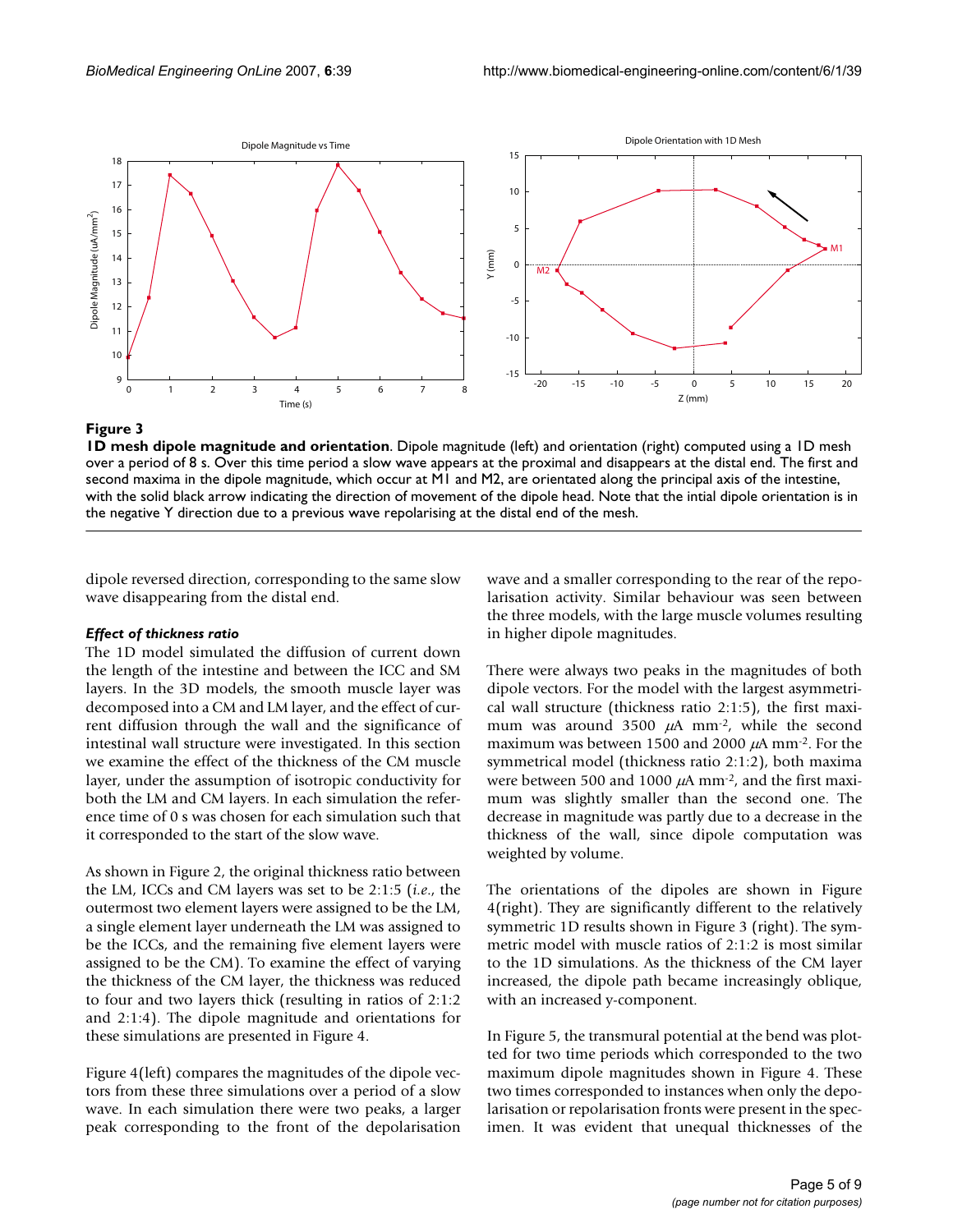

# **Figure 3**

**1D mesh dipole magnitude and orientation**. Dipole magnitude (left) and orientation (right) computed using a 1D mesh over a period of 8 s. Over this time period a slow wave appears at the proximal and disappears at the distal end. The first and second maxima in the dipole magnitude, which occur at M1 and M2, are orientated along the principal axis of the intestine, with the solid black arrow indicating the direction of movement of the dipole head. Note that the intial dipole orientation is in the negative Y direction due to a previous wave repolarising at the distal end of the mesh.

dipole reversed direction, corresponding to the same slow wave disappearing from the distal end.

# *Effect of thickness ratio*

The 1D model simulated the diffusion of current down the length of the intestine and between the ICC and SM layers. In the 3D models, the smooth muscle layer was decomposed into a CM and LM layer, and the effect of current diffusion through the wall and the significance of intestinal wall structure were investigated. In this section we examine the effect of the thickness of the CM muscle layer, under the assumption of isotropic conductivity for both the LM and CM layers. In each simulation the reference time of 0 s was chosen for each simulation such that it corresponded to the start of the slow wave.

As shown in Figure 2, the original thickness ratio between the LM, ICCs and CM layers was set to be 2:1:5 (*i.e*., the outermost two element layers were assigned to be the LM, a single element layer underneath the LM was assigned to be the ICCs, and the remaining five element layers were assigned to be the CM). To examine the effect of varying the thickness of the CM layer, the thickness was reduced to four and two layers thick (resulting in ratios of 2:1:2 and 2:1:4). The dipole magnitude and orientations for these simulations are presented in Figure 4.

Figure 4(left) compares the magnitudes of the dipole vectors from these three simulations over a period of a slow wave. In each simulation there were two peaks, a larger peak corresponding to the front of the depolarisation

wave and a smaller corresponding to the rear of the repolarisation activity. Similar behaviour was seen between the three models, with the large muscle volumes resulting in higher dipole magnitudes.

There were always two peaks in the magnitudes of both dipole vectors. For the model with the largest asymmetrical wall structure (thickness ratio 2:1:5), the first maximum was around 3500  $\mu$ A mm<sup>-2</sup>, while the second maximum was between 1500 and 2000  $\mu$ A mm<sup>-2</sup>. For the symmetrical model (thickness ratio 2:1:2), both maxima were between 500 and 1000  $\mu$ A mm<sup>-2</sup>, and the first maximum was slightly smaller than the second one. The decrease in magnitude was partly due to a decrease in the thickness of the wall, since dipole computation was weighted by volume.

The orientations of the dipoles are shown in Figure 4(right). They are significantly different to the relatively symmetric 1D results shown in Figure 3 (right). The symmetric model with muscle ratios of 2:1:2 is most similar to the 1D simulations. As the thickness of the CM layer increased, the dipole path became increasingly oblique, with an increased y-component.

In Figure 5, the transmural potential at the bend was plotted for two time periods which corresponded to the two maximum dipole magnitudes shown in Figure 4. These two times corresponded to instances when only the depolarisation or repolarisation fronts were present in the specimen. It was evident that unequal thicknesses of the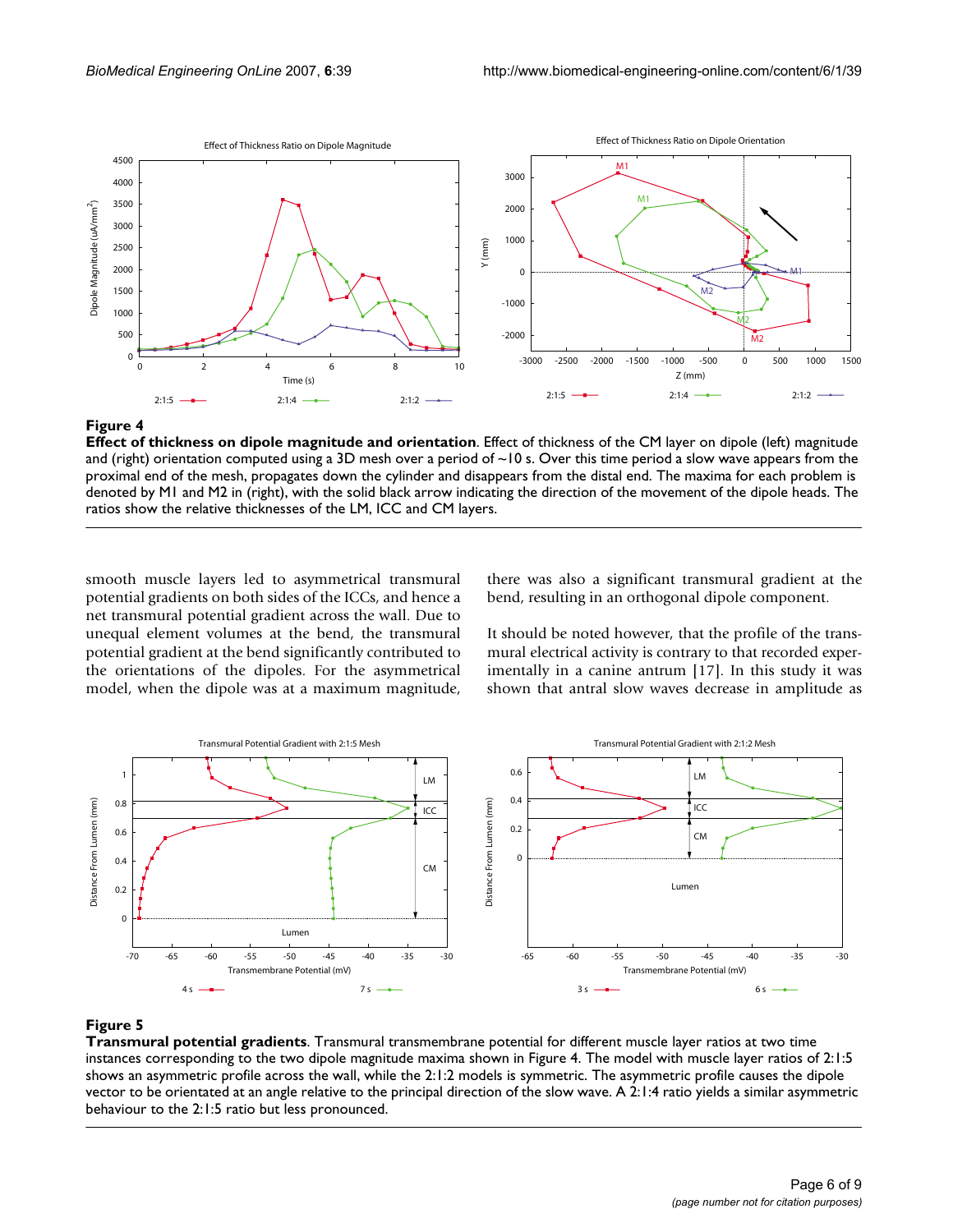



**Effect of thickness on dipole magnitude and orientation**. Effect of thickness of the CM layer on dipole (left) magnitude and (right) orientation computed using a 3D mesh over a period of  $\sim$ 10 s. Over this time period a slow wave appears from the proximal end of the mesh, propagates down the cylinder and disappears from the distal end. The maxima for each problem is denoted by M1 and M2 in (right), with the solid black arrow indicating the direction of the movement of the dipole heads. The ratios show the relative thicknesses of the LM, ICC and CM layers.

smooth muscle layers led to asymmetrical transmural potential gradients on both sides of the ICCs, and hence a net transmural potential gradient across the wall. Due to unequal element volumes at the bend, the transmural potential gradient at the bend significantly contributed to the orientations of the dipoles. For the asymmetrical model, when the dipole was at a maximum magnitude,

there was also a significant transmural gradient at the bend, resulting in an orthogonal dipole component.

It should be noted however, that the profile of the transmural electrical activity is contrary to that recorded experimentally in a canine antrum [17]. In this study it was shown that antral slow waves decrease in amplitude as



# **Figure 5**

**Transmural potential gradients**. Transmural transmembrane potential for different muscle layer ratios at two time instances corresponding to the two dipole magnitude maxima shown in Figure 4. The model with muscle layer ratios of 2:1:5 shows an asymmetric profile across the wall, while the 2:1:2 models is symmetric. The asymmetric profile causes the dipole vector to be orientated at an angle relative to the principal direction of the slow wave. A 2:1:4 ratio yields a similar asymmetric behaviour to the 2:1:5 ratio but less pronounced.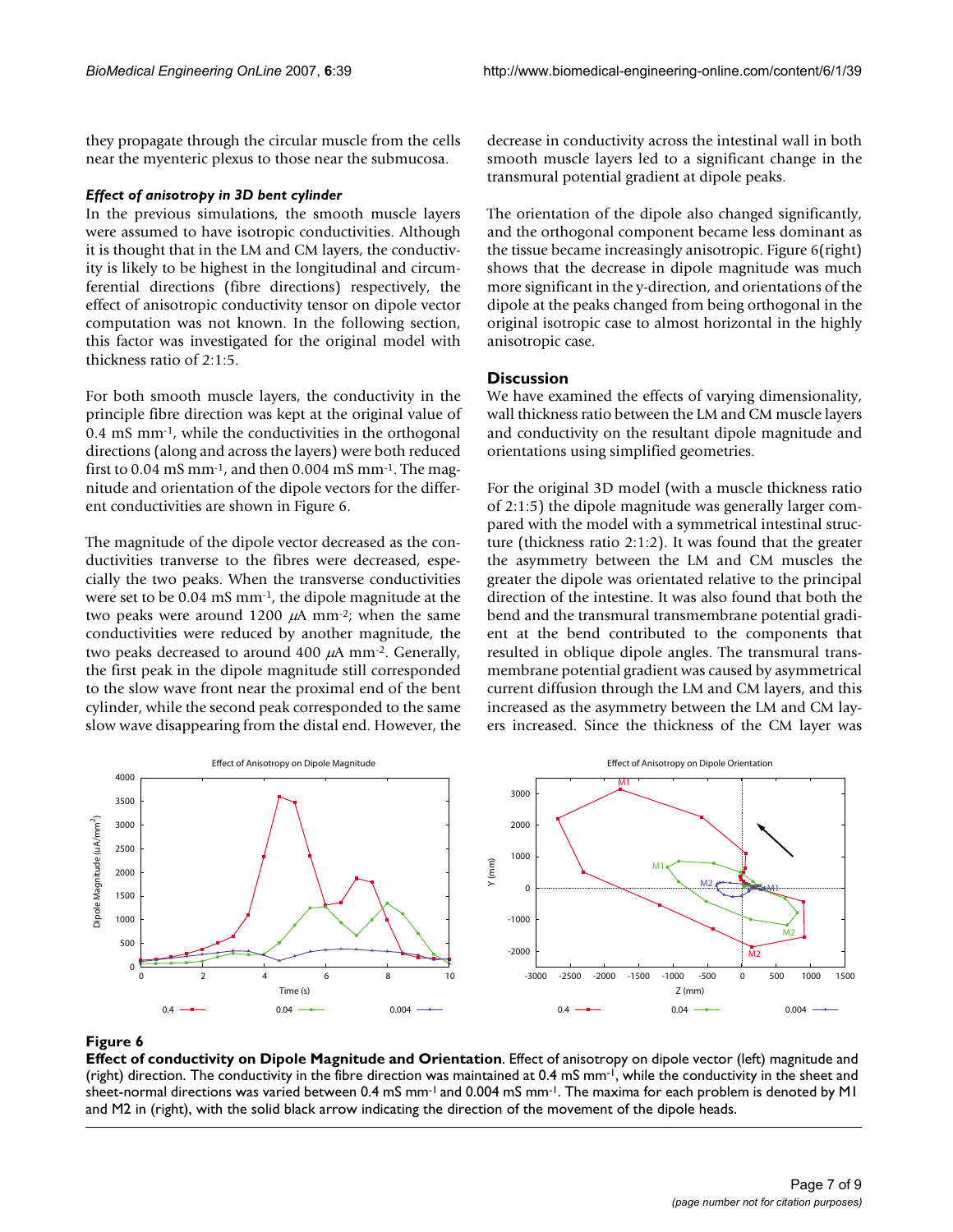they propagate through the circular muscle from the cells near the myenteric plexus to those near the submucosa.

#### *Effect of anisotropy in 3D bent cylinder*

In the previous simulations, the smooth muscle layers were assumed to have isotropic conductivities. Although it is thought that in the LM and CM layers, the conductivity is likely to be highest in the longitudinal and circumferential directions (fibre directions) respectively, the effect of anisotropic conductivity tensor on dipole vector computation was not known. In the following section, this factor was investigated for the original model with thickness ratio of 2:1:5.

For both smooth muscle layers, the conductivity in the principle fibre direction was kept at the original value of 0.4 mS mm-1, while the conductivities in the orthogonal directions (along and across the layers) were both reduced first to 0.04 mS mm-1, and then 0.004 mS mm-1. The magnitude and orientation of the dipole vectors for the different conductivities are shown in Figure 6.

The magnitude of the dipole vector decreased as the conductivities tranverse to the fibres were decreased, especially the two peaks. When the transverse conductivities were set to be 0.04 mS mm-1, the dipole magnitude at the two peaks were around 1200  $\mu$ A mm<sup>-2</sup>; when the same conductivities were reduced by another magnitude, the two peaks decreased to around 400  $\mu$ A mm<sup>-2</sup>. Generally, the first peak in the dipole magnitude still corresponded to the slow wave front near the proximal end of the bent cylinder, while the second peak corresponded to the same slow wave disappearing from the distal end. However, the decrease in conductivity across the intestinal wall in both smooth muscle layers led to a significant change in the transmural potential gradient at dipole peaks.

The orientation of the dipole also changed significantly, and the orthogonal component became less dominant as the tissue became increasingly anisotropic. Figure 6(right) shows that the decrease in dipole magnitude was much more significant in the y-direction, and orientations of the dipole at the peaks changed from being orthogonal in the original isotropic case to almost horizontal in the highly anisotropic case.

# **Discussion**

We have examined the effects of varying dimensionality, wall thickness ratio between the LM and CM muscle layers and conductivity on the resultant dipole magnitude and orientations using simplified geometries.

For the original 3D model (with a muscle thickness ratio of 2:1:5) the dipole magnitude was generally larger compared with the model with a symmetrical intestinal structure (thickness ratio 2:1:2). It was found that the greater the asymmetry between the LM and CM muscles the greater the dipole was orientated relative to the principal direction of the intestine. It was also found that both the bend and the transmural transmembrane potential gradient at the bend contributed to the components that resulted in oblique dipole angles. The transmural transmembrane potential gradient was caused by asymmetrical current diffusion through the LM and CM layers, and this increased as the asymmetry between the LM and CM layers increased. Since the thickness of the CM layer was



#### Figure 6

**Effect of conductivity on Dipole Magnitude and Orientation**. Effect of anisotropy on dipole vector (left) magnitude and (right) direction. The conductivity in the fibre direction was maintained at 0.4 mS mm-1, while the conductivity in the sheet and sheet-normal directions was varied between 0.4 mS mm<sup>-1</sup> and 0.004 mS mm<sup>-1</sup>. The maxima for each problem is denoted by M1 and M2 in (right), with the solid black arrow indicating the direction of the movement of the dipole heads.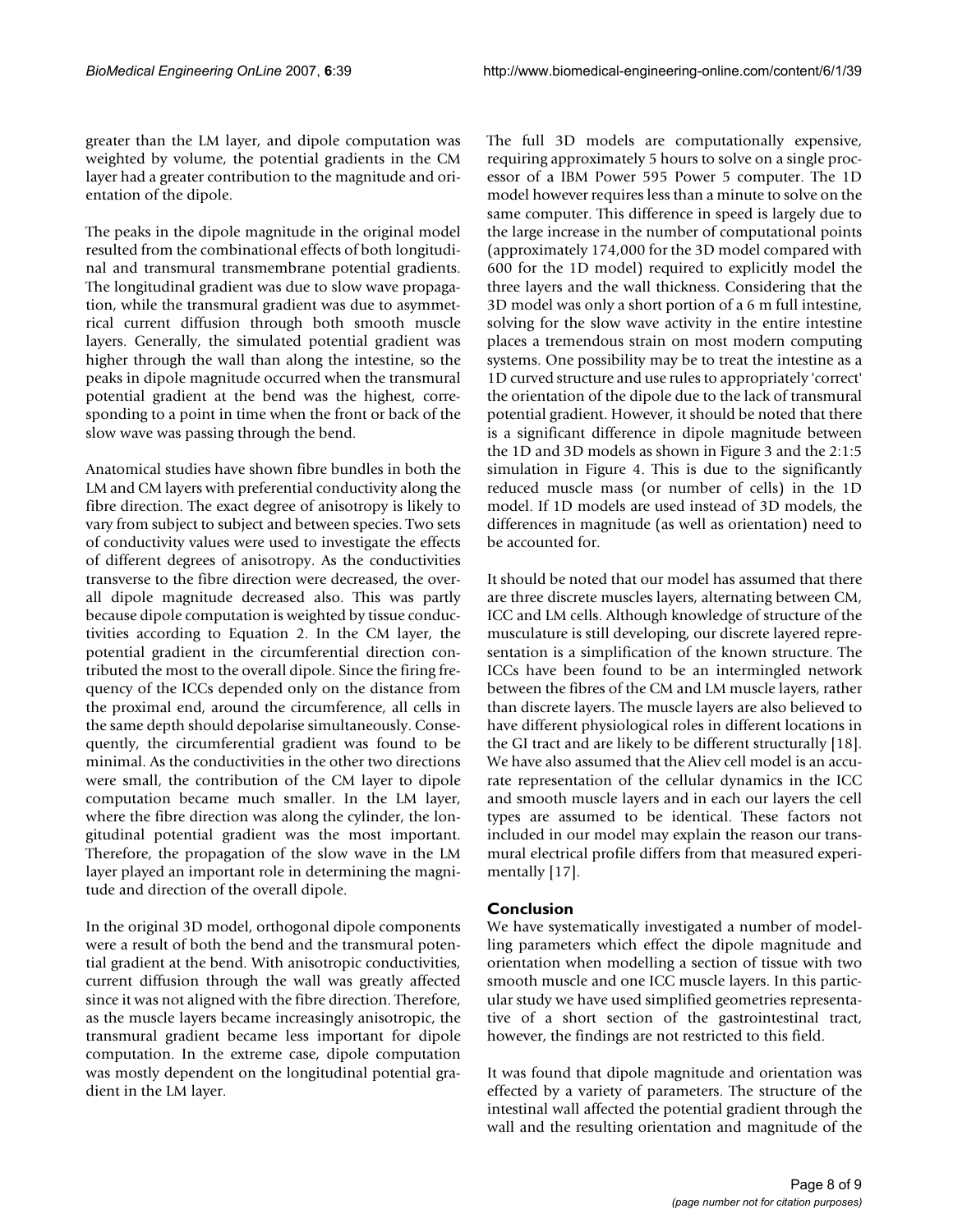greater than the LM layer, and dipole computation was weighted by volume, the potential gradients in the CM layer had a greater contribution to the magnitude and orientation of the dipole.

The peaks in the dipole magnitude in the original model resulted from the combinational effects of both longitudinal and transmural transmembrane potential gradients. The longitudinal gradient was due to slow wave propagation, while the transmural gradient was due to asymmetrical current diffusion through both smooth muscle layers. Generally, the simulated potential gradient was higher through the wall than along the intestine, so the peaks in dipole magnitude occurred when the transmural potential gradient at the bend was the highest, corresponding to a point in time when the front or back of the slow wave was passing through the bend.

Anatomical studies have shown fibre bundles in both the LM and CM layers with preferential conductivity along the fibre direction. The exact degree of anisotropy is likely to vary from subject to subject and between species. Two sets of conductivity values were used to investigate the effects of different degrees of anisotropy. As the conductivities transverse to the fibre direction were decreased, the overall dipole magnitude decreased also. This was partly because dipole computation is weighted by tissue conductivities according to Equation 2. In the CM layer, the potential gradient in the circumferential direction contributed the most to the overall dipole. Since the firing frequency of the ICCs depended only on the distance from the proximal end, around the circumference, all cells in the same depth should depolarise simultaneously. Consequently, the circumferential gradient was found to be minimal. As the conductivities in the other two directions were small, the contribution of the CM layer to dipole computation became much smaller. In the LM layer, where the fibre direction was along the cylinder, the longitudinal potential gradient was the most important. Therefore, the propagation of the slow wave in the LM layer played an important role in determining the magnitude and direction of the overall dipole.

In the original 3D model, orthogonal dipole components were a result of both the bend and the transmural potential gradient at the bend. With anisotropic conductivities, current diffusion through the wall was greatly affected since it was not aligned with the fibre direction. Therefore, as the muscle layers became increasingly anisotropic, the transmural gradient became less important for dipole computation. In the extreme case, dipole computation was mostly dependent on the longitudinal potential gradient in the LM layer.

The full 3D models are computationally expensive, requiring approximately 5 hours to solve on a single processor of a IBM Power 595 Power 5 computer. The 1D model however requires less than a minute to solve on the same computer. This difference in speed is largely due to the large increase in the number of computational points (approximately 174,000 for the 3D model compared with 600 for the 1D model) required to explicitly model the three layers and the wall thickness. Considering that the 3D model was only a short portion of a 6 m full intestine, solving for the slow wave activity in the entire intestine places a tremendous strain on most modern computing systems. One possibility may be to treat the intestine as a 1D curved structure and use rules to appropriately 'correct' the orientation of the dipole due to the lack of transmural potential gradient. However, it should be noted that there is a significant difference in dipole magnitude between the 1D and 3D models as shown in Figure 3 and the 2:1:5 simulation in Figure 4. This is due to the significantly reduced muscle mass (or number of cells) in the 1D model. If 1D models are used instead of 3D models, the differences in magnitude (as well as orientation) need to be accounted for.

It should be noted that our model has assumed that there are three discrete muscles layers, alternating between CM, ICC and LM cells. Although knowledge of structure of the musculature is still developing, our discrete layered representation is a simplification of the known structure. The ICCs have been found to be an intermingled network between the fibres of the CM and LM muscle layers, rather than discrete layers. The muscle layers are also believed to have different physiological roles in different locations in the GI tract and are likely to be different structurally [18]. We have also assumed that the Aliev cell model is an accurate representation of the cellular dynamics in the ICC and smooth muscle layers and in each our layers the cell types are assumed to be identical. These factors not included in our model may explain the reason our transmural electrical profile differs from that measured experimentally [17].

# **Conclusion**

We have systematically investigated a number of modelling parameters which effect the dipole magnitude and orientation when modelling a section of tissue with two smooth muscle and one ICC muscle layers. In this particular study we have used simplified geometries representative of a short section of the gastrointestinal tract, however, the findings are not restricted to this field.

It was found that dipole magnitude and orientation was effected by a variety of parameters. The structure of the intestinal wall affected the potential gradient through the wall and the resulting orientation and magnitude of the